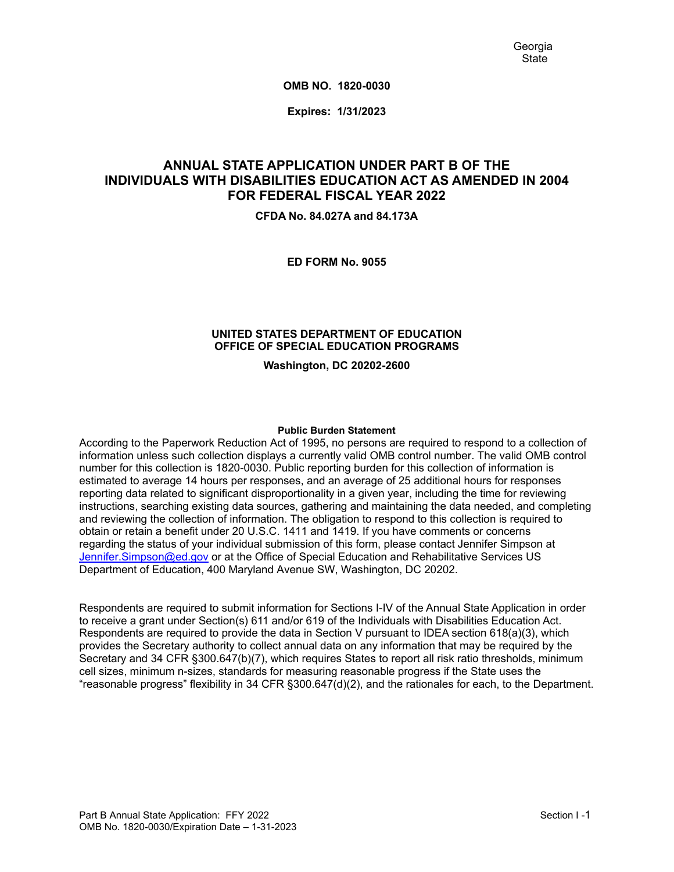**OMB NO. 1820-0030**

**Expires: 1/31/2023**

# **ANNUAL STATE APPLICATION UNDER PART B OF THE INDIVIDUALS WITH DISABILITIES EDUCATION ACT AS AMENDED IN 2004 FOR FEDERAL FISCAL YEAR 2022**

**CFDA No. 84.027A and 84.173A**

**ED FORM No. 9055**

### **UNITED STATES DEPARTMENT OF EDUCATION OFFICE OF SPECIAL EDUCATION PROGRAMS**

**Washington, DC 20202-2600**

#### **Public Burden Statement**

According to the Paperwork Reduction Act of 1995, no persons are required to respond to a collection of information unless such collection displays a currently valid OMB control number. The valid OMB control number for this collection is 1820-0030. Public reporting burden for this collection of information is estimated to average 14 hours per responses, and an average of 25 additional hours for responses reporting data related to significant disproportionality in a given year, including the time for reviewing instructions, searching existing data sources, gathering and maintaining the data needed, and completing and reviewing the collection of information. The obligation to respond to this collection is required to obtain or retain a benefit under 20 U.S.C. 1411 and 1419. If you have comments or concerns regarding the status of your individual submission of this form, please contact Jennifer Simpson at [Jennifer.Simpson@ed.gov](mailto:Jennifer.Simpson@ed.gov) or at the Office of Special Education and Rehabilitative Services US Department of Education, 400 Maryland Avenue SW, Washington, DC 20202.

Respondents are required to submit information for Sections I-IV of the Annual State Application in order to receive a grant under Section(s) 611 and/or 619 of the Individuals with Disabilities Education Act. Respondents are required to provide the data in Section V pursuant to IDEA section 618(a)(3), which provides the Secretary authority to collect annual data on any information that may be required by the Secretary and 34 CFR §300.647(b)(7), which requires States to report all risk ratio thresholds, minimum cell sizes, minimum n-sizes, standards for measuring reasonable progress if the State uses the "reasonable progress" flexibility in 34 CFR §300.647(d)(2), and the rationales for each, to the Department.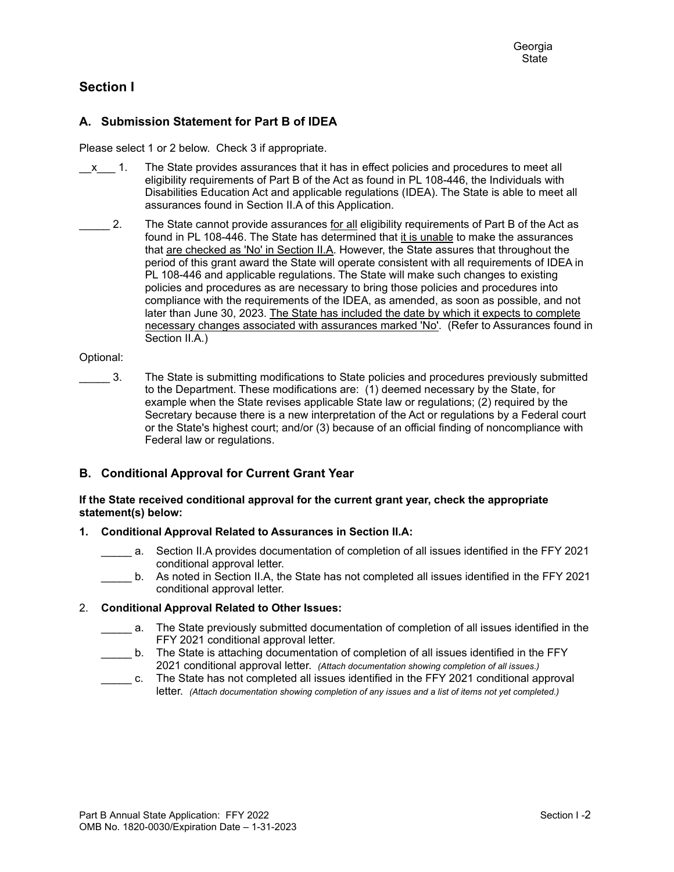# **Section I**

### **A. Submission Statement for Part B of IDEA**

Please select 1 or 2 below. Check 3 if appropriate.

- $x = 1$ . The State provides assurances that it has in effect policies and procedures to meet all eligibility requirements of Part B of the Act as found in PL 108-446, the Individuals with Disabilities Education Act and applicable regulations (IDEA). The State is able to meet all assurances found in Section II.A of this Application.
- 2. The State cannot provide assurances for all eligibility requirements of Part B of the Act as found in PL 108-446. The State has determined that it is unable to make the assurances that are checked as 'No' in Section II.A. However, the State assures that throughout the period of this grant award the State will operate consistent with all requirements of IDEA in PL 108-446 and applicable regulations. The State will make such changes to existing policies and procedures as are necessary to bring those policies and procedures into compliance with the requirements of the IDEA, as amended, as soon as possible, and not later than June 30, 2023. The State has included the date by which it expects to complete necessary changes associated with assurances marked 'No'. (Refer to Assurances found in Section II.A.)

#### Optional:

\_\_\_\_\_ 3. The State is submitting modifications to State policies and procedures previously submitted to the Department. These modifications are: (1) deemed necessary by the State, for example when the State revises applicable State law or regulations; (2) required by the Secretary because there is a new interpretation of the Act or regulations by a Federal court or the State's highest court; and/or (3) because of an official finding of noncompliance with Federal law or regulations.

### **B. Conditional Approval for Current Grant Year**

#### **If the State received conditional approval for the current grant year, check the appropriate statement(s) below:**

### **1. Conditional Approval Related to Assurances in Section II.A:**

- a. Section II.A provides documentation of completion of all issues identified in the FFY 2021 conditional approval letter.
- b. As noted in Section II.A, the State has not completed all issues identified in the FFY 2021 conditional approval letter.

#### 2. **Conditional Approval Related to Other Issues:**

- \_\_\_\_\_ a. The State previously submitted documentation of completion of all issues identified in the FFY 2021 conditional approval letter.
- \_\_\_\_\_ b. The State is attaching documentation of completion of all issues identified in the FFY 2021 conditional approval letter. *(Attach documentation showing completion of all issues.)*
- \_\_\_\_\_ c. The State has not completed all issues identified in the FFY 2021 conditional approval letter. *(Attach documentation showing completion of any issues and a list of items not yet completed.)*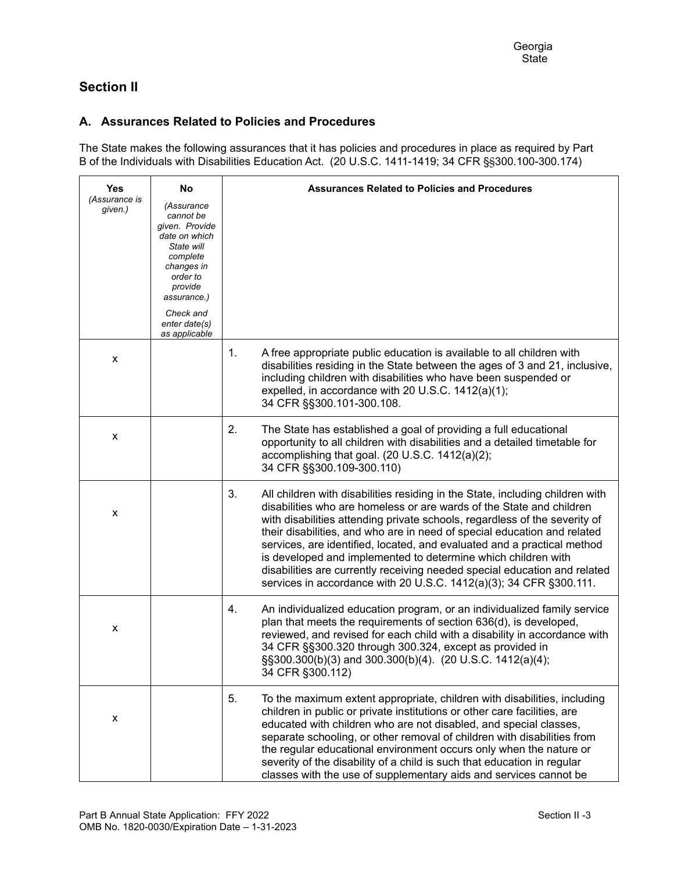# **Section II**

## **A. Assurances Related to Policies and Procedures**

The State makes the following assurances that it has policies and procedures in place as required by Part B of the Individuals with Disabilities Education Act. (20 U.S.C. 1411-1419; 34 CFR §§300.100-300.174)

| <b>Yes</b>               | No                                                                                                                                                                                      | <b>Assurances Related to Policies and Procedures</b>                                                                                                                                                                                                                                                                                                                                                                                                                                                                                                                                                                 |
|--------------------------|-----------------------------------------------------------------------------------------------------------------------------------------------------------------------------------------|----------------------------------------------------------------------------------------------------------------------------------------------------------------------------------------------------------------------------------------------------------------------------------------------------------------------------------------------------------------------------------------------------------------------------------------------------------------------------------------------------------------------------------------------------------------------------------------------------------------------|
| (Assurance is<br>given.) | (Assurance<br>cannot be<br>given. Provide<br>date on which<br>State will<br>complete<br>changes in<br>order to<br>provide<br>assurance.)<br>Check and<br>enter date(s)<br>as applicable |                                                                                                                                                                                                                                                                                                                                                                                                                                                                                                                                                                                                                      |
| x                        |                                                                                                                                                                                         | 1.<br>A free appropriate public education is available to all children with<br>disabilities residing in the State between the ages of 3 and 21, inclusive,<br>including children with disabilities who have been suspended or<br>expelled, in accordance with 20 U.S.C. 1412(a)(1);<br>34 CFR §§300.101-300.108.                                                                                                                                                                                                                                                                                                     |
| X                        |                                                                                                                                                                                         | 2.<br>The State has established a goal of providing a full educational<br>opportunity to all children with disabilities and a detailed timetable for<br>accomplishing that goal. (20 U.S.C. 1412(a)(2);<br>34 CFR §§300.109-300.110)                                                                                                                                                                                                                                                                                                                                                                                 |
| X                        |                                                                                                                                                                                         | 3.<br>All children with disabilities residing in the State, including children with<br>disabilities who are homeless or are wards of the State and children<br>with disabilities attending private schools, regardless of the severity of<br>their disabilities, and who are in need of special education and related<br>services, are identified, located, and evaluated and a practical method<br>is developed and implemented to determine which children with<br>disabilities are currently receiving needed special education and related<br>services in accordance with 20 U.S.C. 1412(a)(3); 34 CFR §300.111. |
| x                        |                                                                                                                                                                                         | An individualized education program, or an individualized family service<br>4.<br>plan that meets the requirements of section 636(d), is developed,<br>reviewed, and revised for each child with a disability in accordance with<br>34 CFR §§300.320 through 300.324, except as provided in<br>§§300.300(b)(3) and 300.300(b)(4). (20 U.S.C. 1412(a)(4);<br>34 CFR §300.112)                                                                                                                                                                                                                                         |
| x                        |                                                                                                                                                                                         | 5.<br>To the maximum extent appropriate, children with disabilities, including<br>children in public or private institutions or other care facilities, are<br>educated with children who are not disabled, and special classes,<br>separate schooling, or other removal of children with disabilities from<br>the regular educational environment occurs only when the nature or<br>severity of the disability of a child is such that education in regular<br>classes with the use of supplementary aids and services cannot be                                                                                     |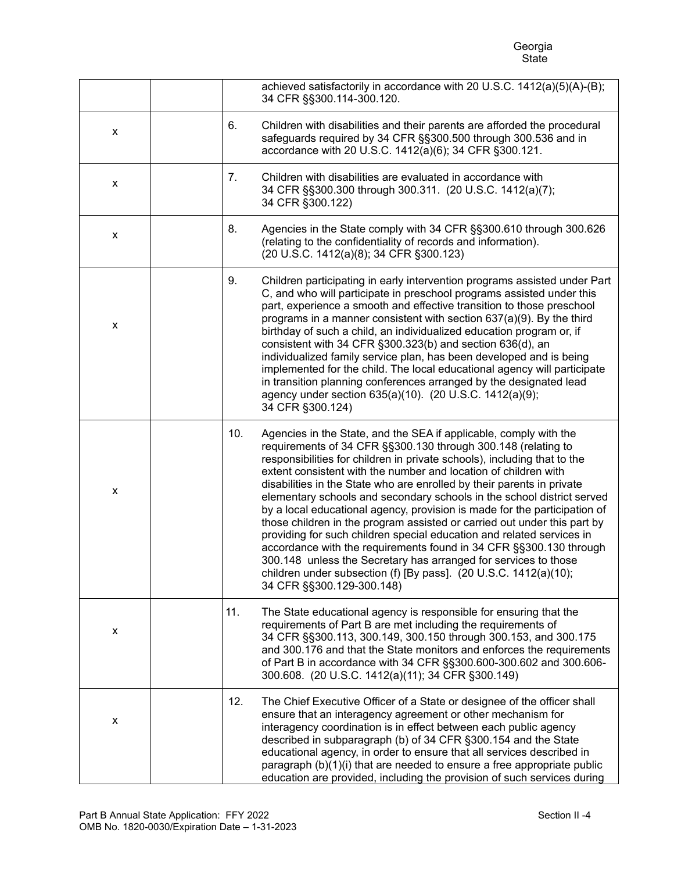# e de la construcción de la construcción de la construcción de la construcción de la construcción de la constru Georgia<br>State

|   |     | achieved satisfactorily in accordance with 20 U.S.C. 1412(a)(5)(A)-(B);<br>34 CFR §§300.114-300.120.                                                                                                                                                                                                                                                                                                                                                                                                                                                                                                                                                                                                                                                                                                                                                                                                              |
|---|-----|-------------------------------------------------------------------------------------------------------------------------------------------------------------------------------------------------------------------------------------------------------------------------------------------------------------------------------------------------------------------------------------------------------------------------------------------------------------------------------------------------------------------------------------------------------------------------------------------------------------------------------------------------------------------------------------------------------------------------------------------------------------------------------------------------------------------------------------------------------------------------------------------------------------------|
| x | 6.  | Children with disabilities and their parents are afforded the procedural<br>safeguards required by 34 CFR §§300.500 through 300.536 and in<br>accordance with 20 U.S.C. 1412(a)(6); 34 CFR §300.121.                                                                                                                                                                                                                                                                                                                                                                                                                                                                                                                                                                                                                                                                                                              |
| X | 7.  | Children with disabilities are evaluated in accordance with<br>34 CFR §§300.300 through 300.311. (20 U.S.C. 1412(a)(7);<br>34 CFR §300.122)                                                                                                                                                                                                                                                                                                                                                                                                                                                                                                                                                                                                                                                                                                                                                                       |
| X | 8.  | Agencies in the State comply with 34 CFR §§300.610 through 300.626<br>(relating to the confidentiality of records and information).<br>(20 U.S.C. 1412(a)(8); 34 CFR §300.123)                                                                                                                                                                                                                                                                                                                                                                                                                                                                                                                                                                                                                                                                                                                                    |
| x | 9.  | Children participating in early intervention programs assisted under Part<br>C, and who will participate in preschool programs assisted under this<br>part, experience a smooth and effective transition to those preschool<br>programs in a manner consistent with section 637(a)(9). By the third<br>birthday of such a child, an individualized education program or, if<br>consistent with 34 CFR §300.323(b) and section 636(d), an<br>individualized family service plan, has been developed and is being<br>implemented for the child. The local educational agency will participate<br>in transition planning conferences arranged by the designated lead<br>agency under section 635(a)(10). (20 U.S.C. 1412(a)(9);<br>34 CFR §300.124)                                                                                                                                                                  |
| X | 10. | Agencies in the State, and the SEA if applicable, comply with the<br>requirements of 34 CFR §§300.130 through 300.148 (relating to<br>responsibilities for children in private schools), including that to the<br>extent consistent with the number and location of children with<br>disabilities in the State who are enrolled by their parents in private<br>elementary schools and secondary schools in the school district served<br>by a local educational agency, provision is made for the participation of<br>those children in the program assisted or carried out under this part by<br>providing for such children special education and related services in<br>accordance with the requirements found in 34 CFR §§300.130 through<br>300.148 unless the Secretary has arranged for services to those<br>children under subsection (f) [By pass]. (20 U.S.C. 1412(a)(10);<br>34 CFR §§300.129-300.148) |
| X | 11. | The State educational agency is responsible for ensuring that the<br>requirements of Part B are met including the requirements of<br>34 CFR §§300.113, 300.149, 300.150 through 300.153, and 300.175<br>and 300.176 and that the State monitors and enforces the requirements<br>of Part B in accordance with 34 CFR §§300.600-300.602 and 300.606-<br>300.608. (20 U.S.C. 1412(a)(11); 34 CFR §300.149)                                                                                                                                                                                                                                                                                                                                                                                                                                                                                                          |
| x | 12. | The Chief Executive Officer of a State or designee of the officer shall<br>ensure that an interagency agreement or other mechanism for<br>interagency coordination is in effect between each public agency<br>described in subparagraph (b) of 34 CFR §300.154 and the State<br>educational agency, in order to ensure that all services described in<br>paragraph (b)(1)(i) that are needed to ensure a free appropriate public<br>education are provided, including the provision of such services during                                                                                                                                                                                                                                                                                                                                                                                                       |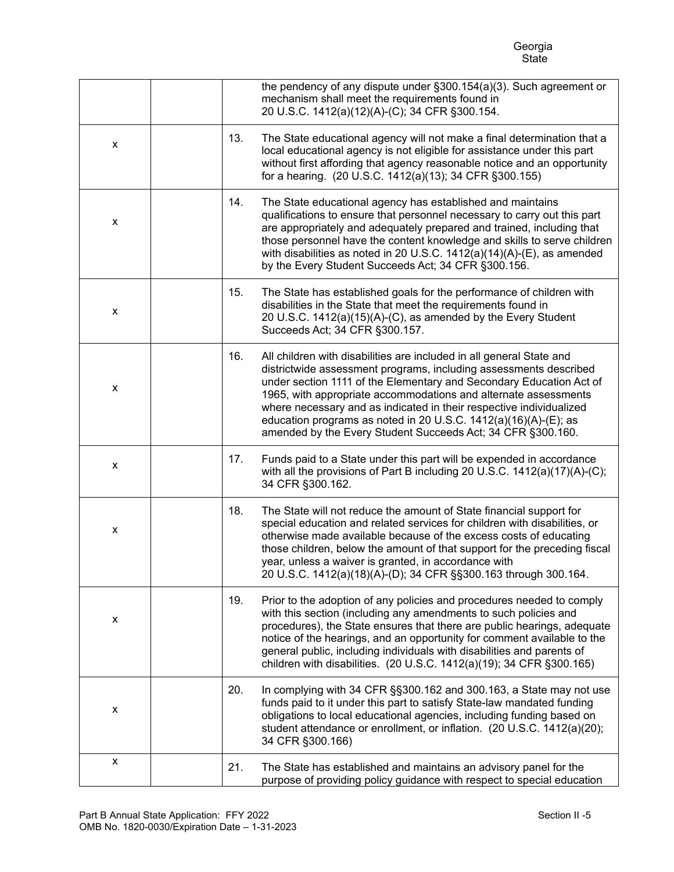e de la construcción de la construcción de la construcción de la construcción de la construcción de la constru Georgia<br>State

|   |     | the pendency of any dispute under §300.154(a)(3). Such agreement or<br>mechanism shall meet the requirements found in<br>20 U.S.C. 1412(a)(12)(A)-(C); 34 CFR §300.154.                                                                                                                                                                                                                                                                                                                      |
|---|-----|----------------------------------------------------------------------------------------------------------------------------------------------------------------------------------------------------------------------------------------------------------------------------------------------------------------------------------------------------------------------------------------------------------------------------------------------------------------------------------------------|
| x | 13. | The State educational agency will not make a final determination that a<br>local educational agency is not eligible for assistance under this part<br>without first affording that agency reasonable notice and an opportunity<br>for a hearing. (20 U.S.C. 1412(a)(13); 34 CFR §300.155)                                                                                                                                                                                                    |
| x | 14. | The State educational agency has established and maintains<br>qualifications to ensure that personnel necessary to carry out this part<br>are appropriately and adequately prepared and trained, including that<br>those personnel have the content knowledge and skills to serve children<br>with disabilities as noted in 20 U.S.C. $1412(a)(14)(A)$ -(E), as amended<br>by the Every Student Succeeds Act; 34 CFR §300.156.                                                               |
| x | 15. | The State has established goals for the performance of children with<br>disabilities in the State that meet the requirements found in<br>20 U.S.C. 1412(a)(15)(A)-(C), as amended by the Every Student<br>Succeeds Act; 34 CFR §300.157.                                                                                                                                                                                                                                                     |
| X | 16. | All children with disabilities are included in all general State and<br>districtwide assessment programs, including assessments described<br>under section 1111 of the Elementary and Secondary Education Act of<br>1965, with appropriate accommodations and alternate assessments<br>where necessary and as indicated in their respective individualized<br>education programs as noted in 20 U.S.C. 1412(a)(16)(A)-(E); as<br>amended by the Every Student Succeeds Act; 34 CFR §300.160. |
| X | 17. | Funds paid to a State under this part will be expended in accordance<br>with all the provisions of Part B including 20 U.S.C. 1412(a)(17)(A)-(C);<br>34 CFR §300.162.                                                                                                                                                                                                                                                                                                                        |
| x | 18. | The State will not reduce the amount of State financial support for<br>special education and related services for children with disabilities, or<br>otherwise made available because of the excess costs of educating<br>those children, below the amount of that support for the preceding fiscal<br>year, unless a waiver is granted, in accordance with<br>20 U.S.C. 1412(a)(18)(A)-(D); 34 CFR §§300.163 through 300.164.                                                                |
| X | 19. | Prior to the adoption of any policies and procedures needed to comply<br>with this section (including any amendments to such policies and<br>procedures), the State ensures that there are public hearings, adequate<br>notice of the hearings, and an opportunity for comment available to the<br>general public, including individuals with disabilities and parents of<br>children with disabilities. (20 U.S.C. 1412(a)(19); 34 CFR §300.165)                                            |
| X | 20. | In complying with 34 CFR §§300.162 and 300.163, a State may not use<br>funds paid to it under this part to satisfy State-law mandated funding<br>obligations to local educational agencies, including funding based on<br>student attendance or enrollment, or inflation. (20 U.S.C. 1412(a)(20);<br>34 CFR §300.166)                                                                                                                                                                        |
| X | 21. | The State has established and maintains an advisory panel for the<br>purpose of providing policy guidance with respect to special education                                                                                                                                                                                                                                                                                                                                                  |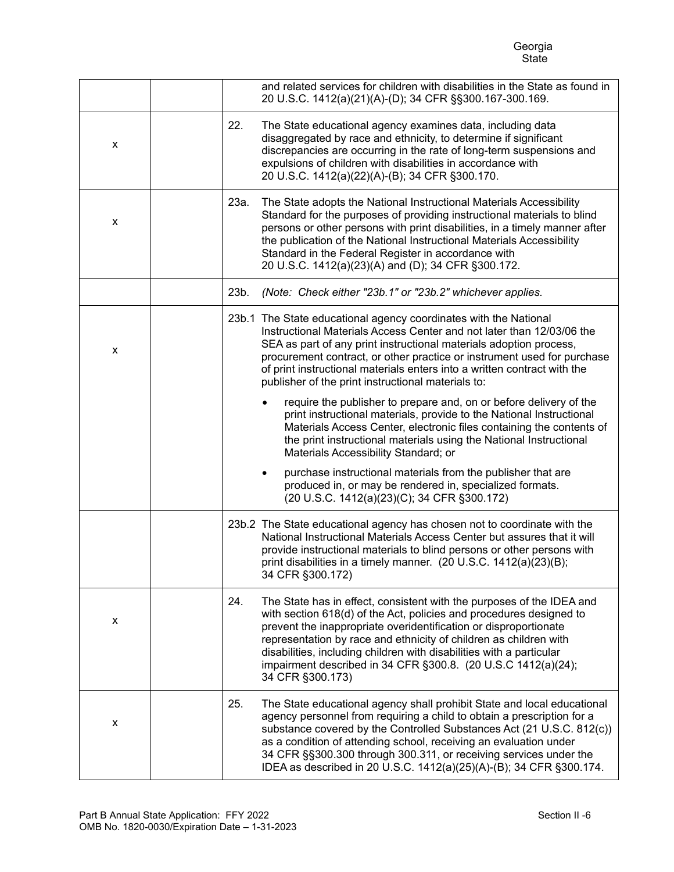e de la construcción de la construcción de la construcción de la construcción de la construcción de la constru Georgia<br>State

|   | and related services for children with disabilities in the State as found in<br>20 U.S.C. 1412(a)(21)(A)-(D); 34 CFR §§300.167-300.169.                                                                                                                                                                                                                                                                                                                   |
|---|-----------------------------------------------------------------------------------------------------------------------------------------------------------------------------------------------------------------------------------------------------------------------------------------------------------------------------------------------------------------------------------------------------------------------------------------------------------|
| X | 22.<br>The State educational agency examines data, including data<br>disaggregated by race and ethnicity, to determine if significant<br>discrepancies are occurring in the rate of long-term suspensions and<br>expulsions of children with disabilities in accordance with<br>20 U.S.C. 1412(a)(22)(A)-(B); 34 CFR §300.170.                                                                                                                            |
| X | 23a.<br>The State adopts the National Instructional Materials Accessibility<br>Standard for the purposes of providing instructional materials to blind<br>persons or other persons with print disabilities, in a timely manner after<br>the publication of the National Instructional Materials Accessibility<br>Standard in the Federal Register in accordance with<br>20 U.S.C. 1412(a)(23)(A) and (D); 34 CFR §300.172.                                |
|   | (Note: Check either "23b.1" or "23b.2" whichever applies.<br>23b.                                                                                                                                                                                                                                                                                                                                                                                         |
| X | 23b.1 The State educational agency coordinates with the National<br>Instructional Materials Access Center and not later than 12/03/06 the<br>SEA as part of any print instructional materials adoption process,<br>procurement contract, or other practice or instrument used for purchase<br>of print instructional materials enters into a written contract with the<br>publisher of the print instructional materials to:                              |
|   | require the publisher to prepare and, on or before delivery of the<br>print instructional materials, provide to the National Instructional<br>Materials Access Center, electronic files containing the contents of<br>the print instructional materials using the National Instructional<br>Materials Accessibility Standard; or                                                                                                                          |
|   | purchase instructional materials from the publisher that are<br>$\bullet$<br>produced in, or may be rendered in, specialized formats.<br>(20 U.S.C. 1412(a)(23)(C); 34 CFR §300.172)                                                                                                                                                                                                                                                                      |
|   | 23b.2 The State educational agency has chosen not to coordinate with the<br>National Instructional Materials Access Center but assures that it will<br>provide instructional materials to blind persons or other persons with<br>print disabilities in a timely manner. (20 U.S.C. 1412(a)(23)(B);<br>34 CFR §300.172)                                                                                                                                    |
| X | 24.<br>The State has in effect, consistent with the purposes of the IDEA and<br>with section 618(d) of the Act, policies and procedures designed to<br>prevent the inappropriate overidentification or disproportionate<br>representation by race and ethnicity of children as children with<br>disabilities, including children with disabilities with a particular<br>impairment described in 34 CFR §300.8. (20 U.S.C 1412(a)(24);<br>34 CFR §300.173) |
| X | 25.<br>The State educational agency shall prohibit State and local educational<br>agency personnel from requiring a child to obtain a prescription for a<br>substance covered by the Controlled Substances Act (21 U.S.C. 812(c))<br>as a condition of attending school, receiving an evaluation under<br>34 CFR §§300.300 through 300.311, or receiving services under the<br>IDEA as described in 20 U.S.C. 1412(a)(25)(A)-(B); 34 CFR §300.174.        |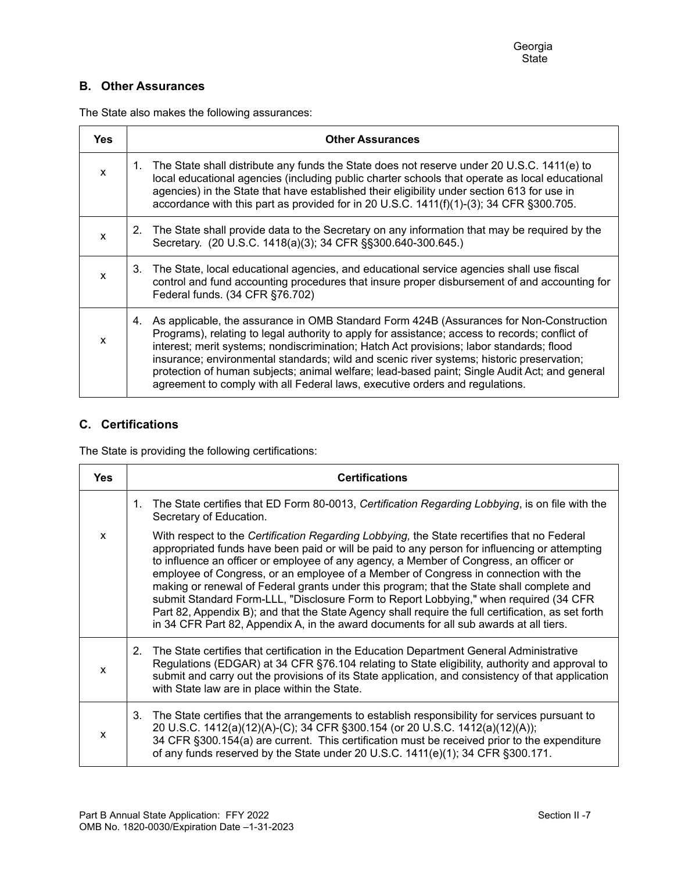# **B. Other Assurances**

The State also makes the following assurances:

| <b>Yes</b> | <b>Other Assurances</b>                                                                                                                                                                                                                                                                                                                                                                                                                                                                                                                                                   |
|------------|---------------------------------------------------------------------------------------------------------------------------------------------------------------------------------------------------------------------------------------------------------------------------------------------------------------------------------------------------------------------------------------------------------------------------------------------------------------------------------------------------------------------------------------------------------------------------|
| X          | 1. The State shall distribute any funds the State does not reserve under 20 U.S.C. 1411(e) to<br>local educational agencies (including public charter schools that operate as local educational<br>agencies) in the State that have established their eligibility under section 613 for use in<br>accordance with this part as provided for in 20 U.S.C. 1411(f)(1)-(3); 34 CFR §300.705.                                                                                                                                                                                 |
| X          | The State shall provide data to the Secretary on any information that may be required by the<br>2.<br>Secretary. (20 U.S.C. 1418(a)(3); 34 CFR §§300.640-300.645.)                                                                                                                                                                                                                                                                                                                                                                                                        |
| x          | 3. The State, local educational agencies, and educational service agencies shall use fiscal<br>control and fund accounting procedures that insure proper disbursement of and accounting for<br>Federal funds. (34 CFR §76.702)                                                                                                                                                                                                                                                                                                                                            |
| X          | As applicable, the assurance in OMB Standard Form 424B (Assurances for Non-Construction<br>4.<br>Programs), relating to legal authority to apply for assistance; access to records; conflict of<br>interest; merit systems; nondiscrimination; Hatch Act provisions; labor standards; flood<br>insurance; environmental standards; wild and scenic river systems; historic preservation;<br>protection of human subjects; animal welfare; lead-based paint; Single Audit Act; and general<br>agreement to comply with all Federal laws, executive orders and regulations. |

# **C. Certifications**

The State is providing the following certifications:

| <b>Yes</b> | <b>Certifications</b>                                                                                                                                                                                                                                                                                                                                                                                                                                                                                                                                                                                                                                                                                                                                               |
|------------|---------------------------------------------------------------------------------------------------------------------------------------------------------------------------------------------------------------------------------------------------------------------------------------------------------------------------------------------------------------------------------------------------------------------------------------------------------------------------------------------------------------------------------------------------------------------------------------------------------------------------------------------------------------------------------------------------------------------------------------------------------------------|
|            | The State certifies that ED Form 80-0013, Certification Regarding Lobbying, is on file with the<br>1.<br>Secretary of Education.                                                                                                                                                                                                                                                                                                                                                                                                                                                                                                                                                                                                                                    |
| x          | With respect to the Certification Regarding Lobbying, the State recertifies that no Federal<br>appropriated funds have been paid or will be paid to any person for influencing or attempting<br>to influence an officer or employee of any agency, a Member of Congress, an officer or<br>employee of Congress, or an employee of a Member of Congress in connection with the<br>making or renewal of Federal grants under this program; that the State shall complete and<br>submit Standard Form-LLL, "Disclosure Form to Report Lobbying," when required (34 CFR<br>Part 82, Appendix B); and that the State Agency shall require the full certification, as set forth<br>in 34 CFR Part 82, Appendix A, in the award documents for all sub awards at all tiers. |
| X          | The State certifies that certification in the Education Department General Administrative<br>2.<br>Regulations (EDGAR) at 34 CFR §76.104 relating to State eligibility, authority and approval to<br>submit and carry out the provisions of its State application, and consistency of that application<br>with State law are in place within the State.                                                                                                                                                                                                                                                                                                                                                                                                             |
| X          | The State certifies that the arrangements to establish responsibility for services pursuant to<br>3.<br>20 U.S.C. 1412(a)(12)(A)-(C); 34 CFR §300.154 (or 20 U.S.C. 1412(a)(12)(A));<br>34 CFR §300.154(a) are current. This certification must be received prior to the expenditure<br>of any funds reserved by the State under 20 U.S.C. 1411(e)(1); 34 CFR §300.171.                                                                                                                                                                                                                                                                                                                                                                                             |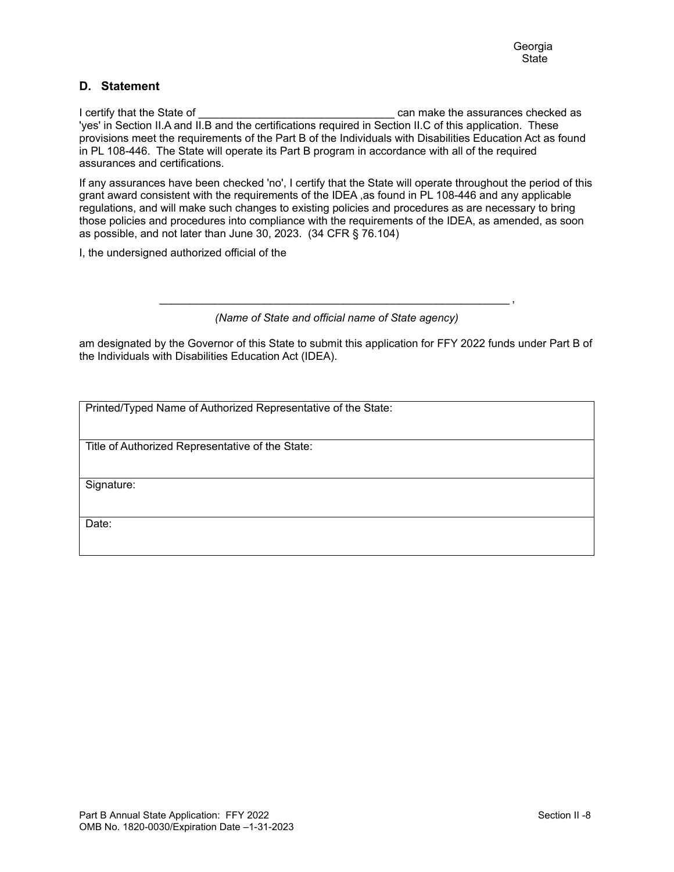### **D. Statement**

I certify that the State of **Exercise 2** can make the assurances checked as 'yes' in Section II.A and II.B and the certifications required in Section II.C of this application. These provisions meet the requirements of the Part B of the Individuals with Disabilities Education Act as found in PL 108-446. The State will operate its Part B program in accordance with all of the required assurances and certifications.

If any assurances have been checked 'no', I certify that the State will operate throughout the period of this grant award consistent with the requirements of the IDEA ,as found in PL 108-446 and any applicable regulations, and will make such changes to existing policies and procedures as are necessary to bring those policies and procedures into compliance with the requirements of the IDEA, as amended, as soon as possible, and not later than June 30, 2023. (34 CFR § 76.104)

I, the undersigned authorized official of the

\_\_\_\_\_\_\_\_\_\_\_\_\_\_\_\_\_\_\_\_\_\_\_\_\_\_\_\_\_\_\_\_\_\_\_\_\_\_\_\_\_\_\_\_\_\_\_\_\_\_\_\_\_\_\_\_\_ , *(Name of State and official name of State agency)*

am designated by the Governor of this State to submit this application for FFY 2022 funds under Part B of the Individuals with Disabilities Education Act (IDEA).

Printed/Typed Name of Authorized Representative of the State:

Title of Authorized Representative of the State:

Signature:

Date: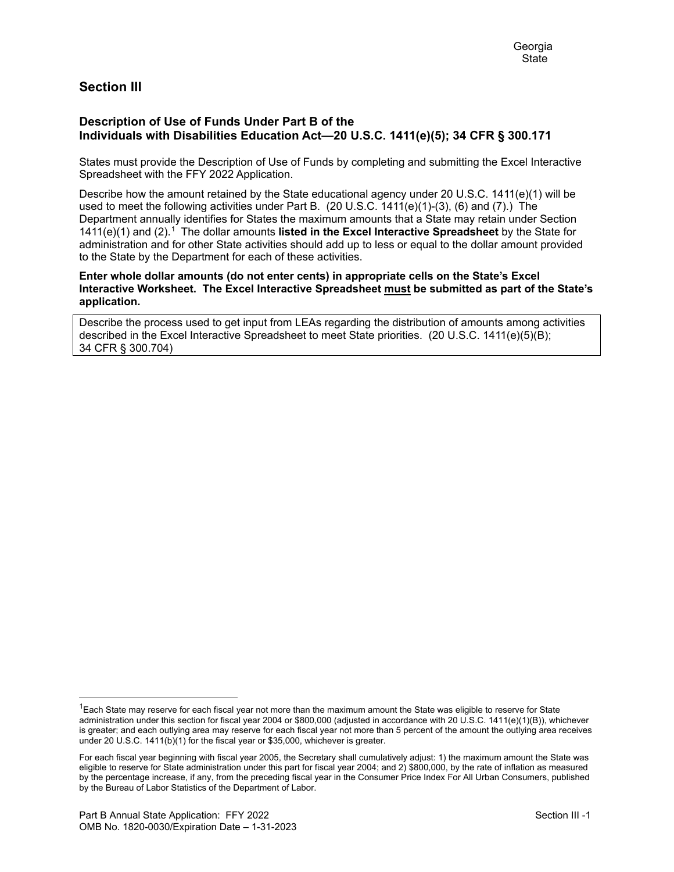# **Section III**

### **Description of Use of Funds Under Part B of the Individuals with Disabilities Education Act—20 U.S.C. 1411(e)(5); 34 CFR § 300.171**

States must provide the Description of Use of Funds by completing and submitting the Excel Interactive Spreadsheet with the FFY 2022 Application.

Describe how the amount retained by the State educational agency under 20 U.S.C. 1411(e)(1) will be used to meet the following activities under Part B. (20 U.S.C. 1411(e)(1)-(3), (6) and (7).) The Department annually identifies for States the maximum amounts that a State may retain under Section 1411(e)(1) and (2).[1](#page-8-0) The dollar amounts **listed in the Excel Interactive Spreadsheet** by the State for administration and for other State activities should add up to less or equal to the dollar amount provided to the State by the Department for each of these activities.

**Enter whole dollar amounts (do not enter cents) in appropriate cells on the State's Excel Interactive Worksheet. The Excel Interactive Spreadsheet must be submitted as part of the State's application.**

Describe the process used to get input from LEAs regarding the distribution of amounts among activities described in the Excel Interactive Spreadsheet to meet State priorities. (20 U.S.C. 1411(e)(5)(B); 34 CFR § 300.704)

<span id="page-8-0"></span> $1$ Each State may reserve for each fiscal year not more than the maximum amount the State was eligible to reserve for State administration under this section for fiscal year 2004 or \$800,000 (adjusted in accordance with 20 U.S.C. 1411(e)(1)(B)), whichever is greater; and each outlying area may reserve for each fiscal year not more than 5 percent of the amount the outlying area receives under 20 U.S.C. 1411(b)(1) for the fiscal year or \$35,000, whichever is greater.

For each fiscal year beginning with fiscal year 2005, the Secretary shall cumulatively adjust: 1) the maximum amount the State was eligible to reserve for State administration under this part for fiscal year 2004; and 2) \$800,000, by the rate of inflation as measured by the percentage increase, if any, from the preceding fiscal year in the Consumer Price Index For All Urban Consumers, published by the Bureau of Labor Statistics of the Department of Labor.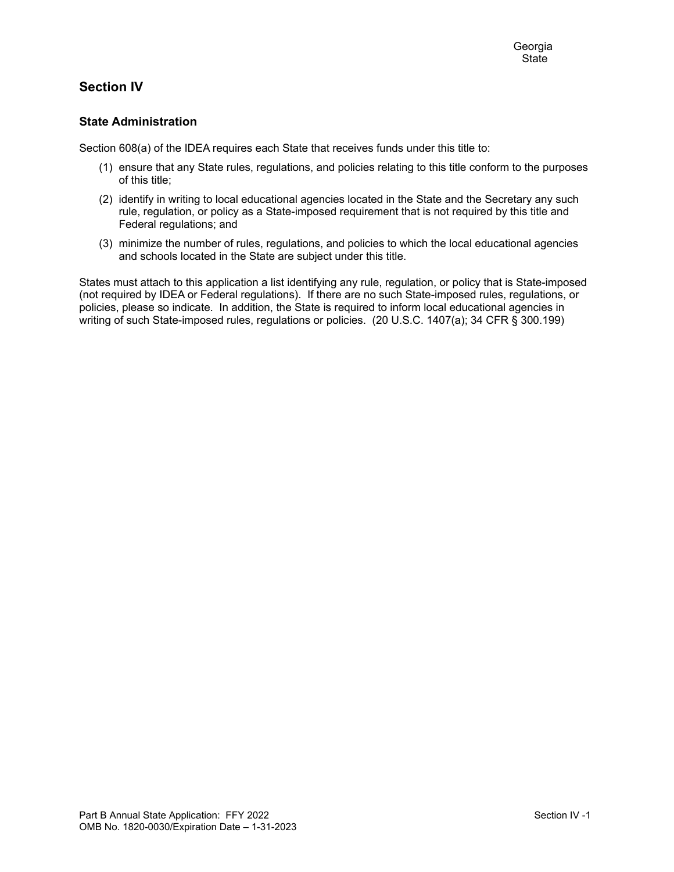# **Section IV**

### **State Administration**

Section 608(a) of the IDEA requires each State that receives funds under this title to:

- (1) ensure that any State rules, regulations, and policies relating to this title conform to the purposes of this title;
- (2) identify in writing to local educational agencies located in the State and the Secretary any such rule, regulation, or policy as a State-imposed requirement that is not required by this title and Federal regulations; and
- (3) minimize the number of rules, regulations, and policies to which the local educational agencies and schools located in the State are subject under this title.

States must attach to this application a list identifying any rule, regulation, or policy that is State-imposed (not required by IDEA or Federal regulations). If there are no such State-imposed rules, regulations, or policies, please so indicate. In addition, the State is required to inform local educational agencies in writing of such State-imposed rules, regulations or policies. (20 U.S.C. 1407(a); 34 CFR § 300.199)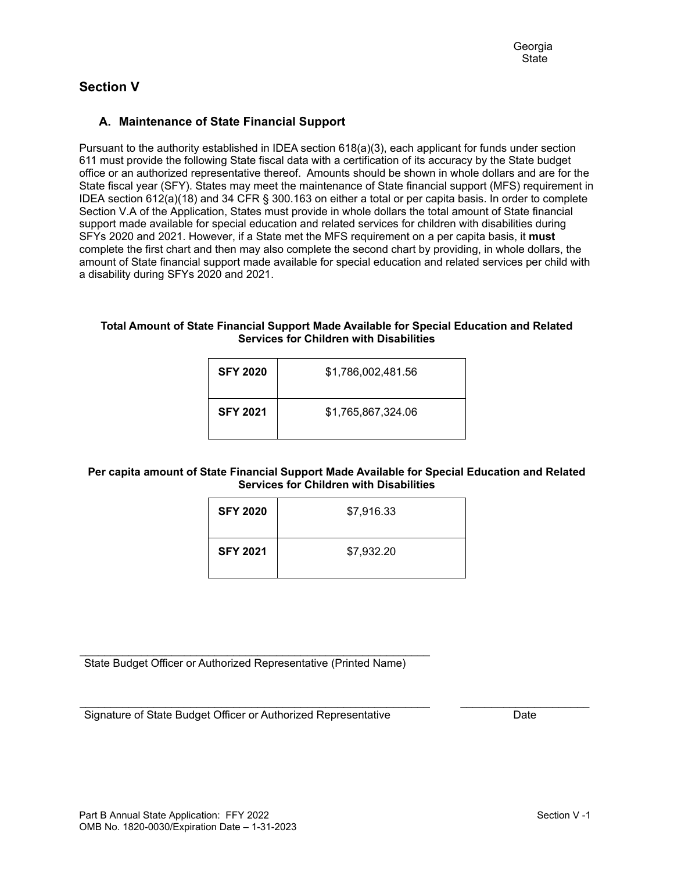# **Section V**

## **A. Maintenance of State Financial Support**

Pursuant to the authority established in IDEA section 618(a)(3), each applicant for funds under section 611 must provide the following State fiscal data with a certification of its accuracy by the State budget office or an authorized representative thereof. Amounts should be shown in whole dollars and are for the State fiscal year (SFY). States may meet the maintenance of State financial support (MFS) requirement in IDEA section 612(a)(18) and 34 CFR § 300.163 on either a total or per capita basis. In order to complete Section V.A of the Application, States must provide in whole dollars the total amount of State financial support made available for special education and related services for children with disabilities during SFYs 2020 and 2021. However, if a State met the MFS requirement on a per capita basis, it **must** complete the first chart and then may also complete the second chart by providing, in whole dollars, the amount of State financial support made available for special education and related services per child with a disability during SFYs 2020 and 2021.

#### **Total Amount of State Financial Support Made Available for Special Education and Related Services for Children with Disabilities**

| <b>SFY 2020</b> | \$1,786,002,481.56 |
|-----------------|--------------------|
| <b>SFY 2021</b> | \$1,765,867,324.06 |

### **Per capita amount of State Financial Support Made Available for Special Education and Related Services for Children with Disabilities**

| <b>SFY 2020</b> | \$7,916.33 |
|-----------------|------------|
| <b>SFY 2021</b> | \$7,932.20 |

\_\_\_\_\_\_\_\_\_\_\_\_\_\_\_\_\_\_\_\_\_\_\_\_\_\_\_\_\_\_\_\_\_\_\_\_\_\_\_\_\_\_\_\_\_\_\_\_\_\_\_\_\_\_\_\_\_ State Budget Officer or Authorized Representative (Printed Name)

\_\_\_\_\_\_\_\_\_\_\_\_\_\_\_\_\_\_\_\_\_\_\_\_\_\_\_\_\_\_\_\_\_\_\_\_\_\_\_\_\_\_\_\_\_\_\_\_\_\_\_\_\_\_\_\_\_ \_\_\_\_\_\_\_\_\_\_\_\_\_\_\_\_\_\_\_\_\_ Signature of State Budget Officer or Authorized Representative Date